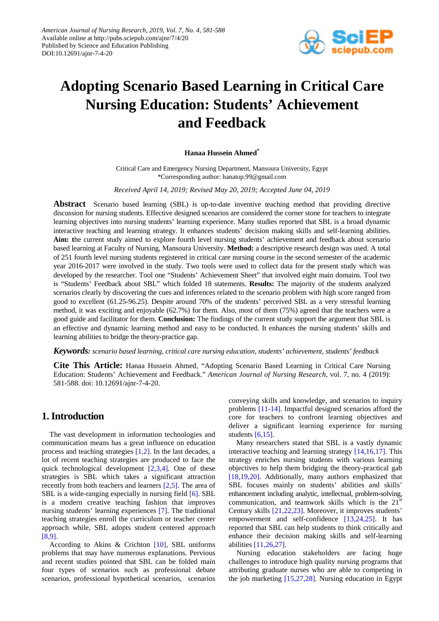

# **Adopting Scenario Based Learning in Critical Care Nursing Education: Students' Achievement and Feedback**

#### **Hanaa Hussein Ahmed\***

Critical Care and Emergency Nursing Department, Mansoura University, Egypt \*Corresponding author: hanatop.99@gmail.com

*Received April 14, 2019; Revised May 20, 2019; Accepted June 04, 2019*

**Abstract** Scenario based learning (SBL) is up-to-date inventive teaching method that providing directive discussion for nursing students. Effective designed scenarios are considered the corner stone for teachers to integrate learning objectives into nursing students' learning experience. Many studies reported that SBL is a broad dynamic interactive teaching and learning strategy. It enhances students' decision making skills and self-learning abilities. **Aim: t**he current study aimed to explore fourth level nursing students' achievement and feedback about scenario based learning at Faculty of Nursing, Mansoura University. **Method:** a descriptive research design was used. A total of 251 fourth level nursing students registered in critical care nursing course in the second semester of the academic year 2016-2017 were involved in the study. Two tools were used to collect data for the present study which was developed by the researcher. Tool one "Students' Achievement Sheet" that involved eight main domains. Tool two is "Students' Feedback about SBL" which folded 18 statements. **Results:** The majority of the students analyzed scenarios clearly by discovering the cues and inferences related to the scenario problem with high score ranged from good to excellent (61.25-96.25). Despite around 70% of the students' perceived SBL as a very stressful learning method, it was exciting and enjoyable (62.7%) for them. Also, most of them (75%) agreed that the teachers were a good guide and facilitator for them. **Conclusion:** The findings of the current study support the argument that SBL is an effective and dynamic learning method and easy to be conducted. It enhances the nursing students' skills and learning abilities to bridge the theory-practice gap.

*Keywords: scenario based learning, critical care nursing education, students' achievement, students' feedback*

**Cite This Article:** Hanaa Hussein Ahmed, "Adopting Scenario Based Learning in Critical Care Nursing Education: Students' Achievement and Feedback." *American Journal of Nursing Research*, vol. 7, no. 4 (2019): 581-588. doi: 10.12691/ajnr-7-4-20.

# **1. Introduction**

The vast development in information technologies and communication means has a great influence on education process and teaching strategies [\[1,2\].](#page-6-0) In the last decades, a lot of recent teaching strategies are produced to face the quick technological development [\[2,3,4\].](#page-6-1) One of these strategies is SBL which takes a significant attraction recently from both teachers and learners [\[2,5\].](#page-6-1) The area of SBL is a wide-ranging especially in nursing field [\[6\].](#page-6-2) SBL is a modern creative teaching fashion that improves nursing students' learning experiences [\[7\].](#page-6-3) The traditional teaching strategies enroll the curriculum or teacher center approach while, SBL adopts student centered approach [\[8,9\].](#page-6-4)

According to Akins & Crichton  $[10]$ , SBL uniforms problems that may have numerous explanations. Pervious and recent studies pointed that SBL can be folded main four types of scenarios such as professional debate scenarios, professional hypothetical scenarios, scenarios

conveying skills and knowledge, and scenarios to inquiry problems [\[11-14\].](#page-6-6) Impactful designed scenarios afford the core for teachers to confront learning objectives and deliver a significant learning experience for nursing students [\[6,15\].](#page-6-2)

Many researchers stated that SBL is a vastly dynamic interactive teaching and learning strategy [\[14,16,17\].](#page-6-7) This strategy enriches nursing students with various learning objectives to help them bridging the theory-practical gab [\[18,19,20\].](#page-6-8) Additionally, many authors emphasized that SBL focuses mainly on students' abilities and skills' enhancement including analytic, intellectual, problem-solving, communication, and teamwork skills which is the  $21<sup>st</sup>$ Century skills [\[21,22,23\].](#page-6-9) Moreover, it improves students' empowerment and self-confidence [\[13,24,25\].](#page-6-10) It has reported that SBL can help students to think critically and enhance their decision making skills and self-learning abilities [\[11,26,27\].](#page-6-6)

Nursing education stakeholders are facing huge challenges to introduce high quality nursing programs that attributing graduate nurses who are able to competing in the job marketing [\[15,27,28\].](#page-6-11) Nursing education in Egypt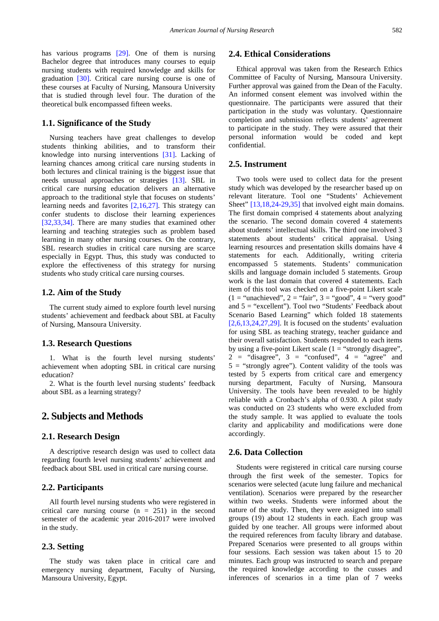has various programs [\[29\].](#page-6-12) One of them is nursing Bachelor degree that introduces many courses to equip nursing students with required knowledge and skills for graduation [\[30\].](#page-6-13) Critical care nursing course is one of these courses at Faculty of Nursing, Mansoura University that is studied through level four. The duration of the theoretical bulk encompassed fifteen weeks.

#### **1.1. Significance of the Study**

Nursing teachers have great challenges to develop students thinking abilities, and to transform their knowledge into nursing interventions [\[31\].](#page-6-14) Lacking of learning chances among critical care nursing students in both lectures and clinical training is the biggest issue that needs unusual approaches or strategies [\[13\].](#page-6-10) SBL in critical care nursing education delivers an alternative approach to the traditional style that focuses on students' learning needs and favorites [\[2,16,27\].](#page-6-1) This strategy can confer students to disclose their learning experiences [\[32,33,34\].](#page-6-15) There are many studies that examined other learning and teaching strategies such as problem based learning in many other nursing courses. On the contrary, SBL research studies in critical care nursing are scarce especially in Egypt. Thus, this study was conducted to explore the effectiveness of this strategy for nursing students who study critical care nursing courses.

#### **1.2. Aim of the Study**

The current study aimed to explore fourth level nursing students' achievement and feedback about SBL at Faculty of Nursing, Mansoura University.

#### **1.3. Research Questions**

1. What is the fourth level nursing students' achievement when adopting SBL in critical care nursing education?

2. What is the fourth level nursing students' feedback about SBL as a learning strategy?

## **2. Subjects and Methods**

#### **2.1. Research Design**

A descriptive research design was used to collect data regarding fourth level nursing students' achievement and feedback about SBL used in critical care nursing course.

#### **2.2. Participants**

All fourth level nursing students who were registered in critical care nursing course  $(n = 251)$  in the second semester of the academic year 2016-2017 were involved in the study.

#### **2.3. Setting**

The study was taken place in critical care and emergency nursing department, Faculty of Nursing, Mansoura University, Egypt.

## **2.4. Ethical Considerations**

Ethical approval was taken from the Research Ethics Committee of Faculty of Nursing, Mansoura University. Further approval was gained from the Dean of the Faculty. An informed consent element was involved within the questionnaire. The participants were assured that their participation in the study was voluntary. Questionnaire completion and submission reflects students' agreement to participate in the study. They were assured that their personal information would be coded and kept confidential.

#### **2.5. Instrument**

Two tools were used to collect data for the present study which was developed by the researcher based up on relevant literature. Tool one "Students' Achievement Sheet" [\[13,18,24-29,35\]](#page-6-10) that involved eight main domains. The first domain comprised 4 statements about analyzing the scenario. The second domain covered 4 statements about students' intellectual skills. The third one involved 3 statements about students' critical appraisal. Using learning resources and presentation skills domains have 4 statements for each. Additionally, writing criteria encompassed 5 statements. Students' communication skills and language domain included 5 statements. Group work is the last domain that covered 4 statements. Each item of this tool was checked on a five-point Likert scale  $(1 = "unachieved", 2 = "fair", 3 = "good", 4 = "very good"$ and 5 = "excellent"). Tool two "Students' Feedback about Scenario Based Learning" which folded 18 statements  $[2,6,13,24,27,29]$ . It is focused on the students' evaluation for using SBL as teaching strategy, teacher guidance and their overall satisfaction. Students responded to each items by using a five-point Likert scale  $(1 = "strongly disagree",$  $2 =$  "disagree",  $3 =$  "confused",  $4 =$  "agree" and  $5 =$  "strongly agree"). Content validity of the tools was tested by 5 experts from critical care and emergency nursing department, Faculty of Nursing, Mansoura University. The tools have been revealed to be highly reliable with a Cronbach's alpha of 0.930. A pilot study was conducted on 23 students who were excluded from the study sample. It was applied to evaluate the tools clarity and applicability and modifications were done accordingly.

#### **2.6. Data Collection**

Students were registered in critical care nursing course through the first week of the semester. Topics for scenarios were selected (acute lung failure and mechanical ventilation). Scenarios were prepared by the researcher within two weeks. Students were informed about the nature of the study. Then, they were assigned into small groups (19) about 12 students in each. Each group was guided by one teacher. All groups were informed about the required references from faculty library and database. Prepared Scenarios were presented to all groups within four sessions. Each session was taken about 15 to 20 minutes. Each group was instructed to search and prepare the required knowledge according to the cusses and inferences of scenarios in a time plan of 7 weeks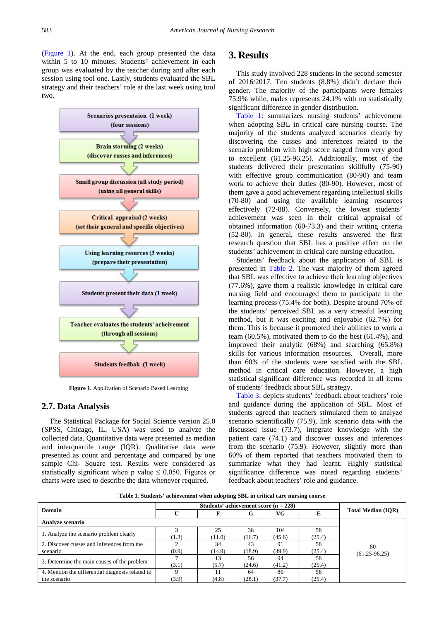[\(Figure 1\)](#page-2-0). At the end, each group presented the data within 5 to 10 minutes. Students' achievement in each group was evaluated by the teacher during and after each session using tool one. Lastly, students evaluated the SBL strategy and their teachers' role at the last week using tool two.

<span id="page-2-0"></span>

**Figure 1.** Application of Scenario Based Learning

#### **2.7. Data Analysis**

The Statistical Package for Social Science version 25.0 (SPSS, Chicago, IL, USA) was used to analyze the collected data. Quantitative data were presented as median and interquartile range (IQR). Qualitative data were presented as count and percentage and compared by one sample Chi- Square test. Results were considered as statistically significant when p value  $\leq 0.050$ . Figures or charts were used to describe the data whenever required.

# **3. Results**

This study involved 228 students in the second semester of 2016/2017. Ten students (8.8%) didn't declare their gender. The majority of the participants were females 75.9% while, males represents 24.1% with no statistically significant difference in gender distribution.

[Table 1:](#page-2-1) summarizes nursing students' achievement when adopting SBL in critical care nursing course. The majority of the students analyzed scenarios clearly by discovering the cusses and inferences related to the scenario problem with high score ranged from very good to excellent (61.25-96.25). Additionally, most of the students delivered their presentation skillfully (75-90) with effective group communication (80-90) and team work to achieve their duties (80-90). However, most of them gave a good achievement regarding intellectual skills (70-80) and using the available learning resources effectively (72-88). Conversely, the lowest students' achievement was seen in their critical appraisal of obtained information (60-73.3) and their writing criteria (52-80). In general, these results answered the first research question that SBL has a positive effect on the students' achievement in critical care nursing education.

Students' feedback about the application of SBL is presented in [Table 2.](#page-4-0) The vast majority of them agreed that SBL was effective to achieve their learning objectives (77.6%), gave them a realistic knowledge in critical care nursing field and encouraged them to participate in the learning process (75.4% for both). Despite around 70% of the students' perceived SBL as a very stressful learning method, but it was exciting and enjoyable (62.7%) for them. This is because it promoted their abilities to work a team (60.5%), motivated them to do the best (61.4%), and improved their analytic (68%) and searching (65.8%) skills for various information resources. Overall, more than 60% of the students were satisfied with the SBL method in critical care education. However, a high statistical significant difference was recorded in all items of students' feedback about SBL strategy.

[Table 3:](#page-4-1) depicts students' feedback about teachers' role and guidance during the application of SBL. Most of students agreed that teachers stimulated them to analyze scenario scientifically (75.9), link scenario data with the discussed issue (73.7), integrate knowledge with the patient care (74.1) and discover cusses and inferences from the scenario (75.9). However, slightly more than 60% of them reported that teachers motivated them to summarize what they had learnt. Highly statistical significance difference was noted regarding students' feedback about teachers' role and guidance.

**Table 1. Students' achievement when adopting SBL in critical care nursing course**

<span id="page-2-1"></span>

| <b>Domain</b>                                    |       |        | G      | VG     |        | <b>Total Median (IOR)</b> |  |
|--------------------------------------------------|-------|--------|--------|--------|--------|---------------------------|--|
| Analyze scenario                                 |       |        |        |        |        |                           |  |
| 1. Analyze the scenario problem clearly          |       | 25     | 38     | 104    | 58     |                           |  |
|                                                  | (1.3) | (11.0) | (16.7) | (45.6) | (25.4) |                           |  |
| 2. Discover cusses and inferences from the       |       | 34     | 43     | 91     | 58     | 80                        |  |
| scenario                                         | (0.9) | (14.9) | (18.9) | (39.9) | (25.4) | $(61.25 - 96.25)$         |  |
| 3. Determine the main causes of the problem      |       | 13     | 56     | 94     | 58     |                           |  |
|                                                  | (3.1) | (5.7)  | (24.6) | (41.2) | (25.4) |                           |  |
| 4. Mention the differential diagnosis related to |       |        | 64     | 86     | 58     |                           |  |
| the scenario                                     | (3.9) | (4.8)  | (28.1) | (37.7) | (25.4) |                           |  |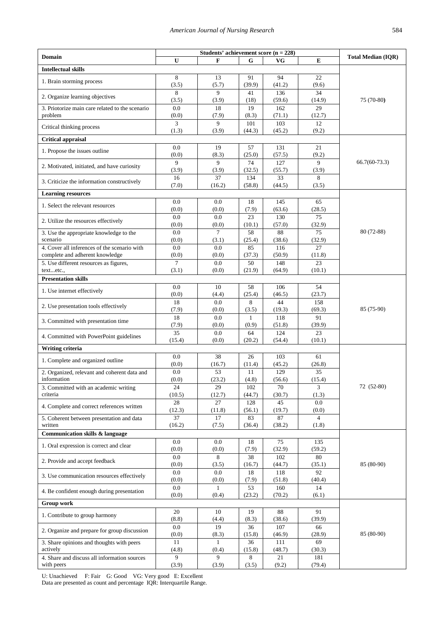| <b>Domain</b>                                               |                       | <b>Total Median (IQR)</b> |               |               |                         |                 |  |  |  |
|-------------------------------------------------------------|-----------------------|---------------------------|---------------|---------------|-------------------------|-----------------|--|--|--|
|                                                             | U                     | F                         | G             | VG            | E                       |                 |  |  |  |
| <b>Intellectual skills</b>                                  |                       |                           |               |               |                         |                 |  |  |  |
| 1. Brain storming process                                   | 8<br>(3.5)            | 13<br>(5.7)               | 91<br>(39.9)  | 94<br>(41.2)  | 22<br>(9.6)             |                 |  |  |  |
| 2. Organize learning objectives                             | 8<br>(3.5)            | 9<br>(3.9)                | 41<br>(18)    | 136<br>(59.6) | 34<br>(14.9)            | 75 (70-80)      |  |  |  |
| 3. Priotorize main care related to the scenario<br>problem  | 0.0<br>(0.0)          | 18<br>(7.9)               | 19<br>(8.3)   | 162<br>(71.1) | 29<br>(12.7)            |                 |  |  |  |
| Critical thinking process                                   | 3<br>(1.3)            | 9<br>(3.9)                | 101<br>(44.3) | 103<br>(45.2) | 12<br>(9.2)             |                 |  |  |  |
| <b>Critical appraisal</b>                                   |                       |                           |               |               |                         |                 |  |  |  |
|                                                             | 0.0                   | 19                        | 57            | 131           | 21                      |                 |  |  |  |
| 1. Propose the issues outline                               | (0.0)                 | (8.3)                     | (25.0)        | (57.5)        | (9.2)                   |                 |  |  |  |
| 2. Motivated, initiated, and have curiosity                 | $\mathbf{Q}$<br>(3.9) | 9<br>(3.9)                | 74<br>(32.5)  | 127<br>(55.7) | 9<br>(3.9)              | $66.7(60-73.3)$ |  |  |  |
| 3. Criticize the information constructively                 | 16<br>(7.0)           | 37<br>(16.2)              | 134<br>(58.8) | 33<br>(44.5)  | 8<br>(3.5)              |                 |  |  |  |
| <b>Learning resources</b>                                   |                       |                           |               |               |                         |                 |  |  |  |
| 1. Select the relevant resources                            | 0.0                   | 0.0                       | 18            | 145           | 65                      |                 |  |  |  |
|                                                             | (0.0)                 | (0.0)                     | (7.9)         | (63.6)        | (28.5)                  |                 |  |  |  |
| 2. Utilize the resources effectively                        | 0.0                   | 0.0                       | 23            | 130           | 75                      |                 |  |  |  |
| 3. Use the appropriate knowledge to the                     | (0.0)<br>0.0          | (0.0)<br>$\overline{7}$   | (10.1)<br>58  | (57.0)<br>88  | (32.9)<br>75            | 80 (72-88)      |  |  |  |
| scenario                                                    | (0.0)                 | (3.1)                     | (25.4)        | (38.6)        | (32.9)                  |                 |  |  |  |
| 4. Cover all inferences of the scenario with                | 0.0                   | 0.0                       | 85            | 116           | 27                      |                 |  |  |  |
| complete and adherent knowledge                             | (0.0)<br>$\tau$       | (0.0)<br>0.0              | (37.3)<br>50  | (50.9)<br>148 | (11.8)<br>23            |                 |  |  |  |
| 5. Use different resources as figures,<br>textetc.,         | (3.1)                 | (0.0)                     | (21.9)        | (64.9)        | (10.1)                  |                 |  |  |  |
| <b>Presentation skills</b>                                  |                       |                           |               |               |                         |                 |  |  |  |
| 1. Use internet effectively                                 | 0.0                   | 10                        | 58            | 106           | 54                      |                 |  |  |  |
|                                                             | (0.0)<br>18           | (4.4)<br>0.0              | (25.4)<br>8   | (46.5)<br>44  | (23.7)<br>158           |                 |  |  |  |
| 2. Use presentation tools effectively                       | (7.9)                 | (0.0)                     | (3.5)         | (19.3)        | (69.3)                  | 85 (75-90)      |  |  |  |
| 3. Committed with presentation time                         | 18<br>(7.9)           | 0.0<br>(0.0)              | 1<br>(0.9)    | 118<br>(51.8) | 91<br>(39.9)            |                 |  |  |  |
| 4. Committed with PowerPoint guidelines                     | 35                    | 0.0                       | 64            | 124           | 23                      |                 |  |  |  |
|                                                             | (15.4)                | (0.0)                     | (20.2)        | (54.4)        | (10.1)                  |                 |  |  |  |
| Writing criteria                                            | 0.0                   | 38                        | 26            | 103           | 61                      |                 |  |  |  |
| 1. Complete and organized outline                           | (0.0)                 | (16.7)                    | (11.4)        | (45.2)        | (26.8)                  |                 |  |  |  |
| 2. Organized, relevant and coherent data and<br>information | 0.0<br>(0.0)          | 53<br>(23.2)              | 11<br>(4.8)   | 129<br>(56.6) | 35<br>(15.4)            |                 |  |  |  |
| 3. Committed with an academic writing                       | 24                    | 29                        | 102           | 70            | 3                       | 72 (52-80)      |  |  |  |
| criteria                                                    | (10.5)                | (12.7)                    | (44.7)        | (30.7)        | (1.3)                   |                 |  |  |  |
| 4. Complete and correct references written                  | 28<br>(12.3)          | 27<br>(11.8)              | 128<br>(56.1) | 45<br>(19.7)  | 0.0<br>(0.0)            |                 |  |  |  |
| 5. Coherent between presentation and data<br>written        | 37<br>(16.2)          | 17<br>(7.5)               | 83<br>(36.4)  | 87<br>(38.2)  | $\overline{4}$<br>(1.8) |                 |  |  |  |
| Communication skills & language                             |                       |                           |               |               |                         |                 |  |  |  |
| 1. Oral expression is correct and clear                     | $0.0\,$<br>(0.0)      | 0.0<br>(0.0)              | 18<br>(7.9)   | 75<br>(32.9)  | 135<br>(59.2)           |                 |  |  |  |
|                                                             | 0.0                   | 8                         | 38            | 102           | 80                      |                 |  |  |  |
| 2. Provide and accept feedback                              | (0.0)                 | (3.5)                     | (16.7)        | (44.7)        | (35.1)                  | 85 (80-90)      |  |  |  |
| 3. Use communication resources effectively                  | 0.0<br>(0.0)          | 0.0<br>(0.0)              | 18<br>(7.9)   | 118<br>(51.8) | 92<br>(40.4)            |                 |  |  |  |
| 4. Be confident enough during presentation                  | $0.0\,$<br>(0.0)      | 1<br>(0.4)                | 53<br>(23.2)  | 160<br>(70.2) | 14<br>(6.1)             |                 |  |  |  |
| <b>Group work</b>                                           |                       |                           |               |               |                         |                 |  |  |  |
| 1. Contribute to group harmony                              | 20<br>(8.8)           | 10<br>(4.4)               | 19<br>(8.3)   | 88<br>(38.6)  | 91<br>(39.9)            |                 |  |  |  |
| 2. Organize and prepare for group discussion                | 0.0                   | 19                        | 36            | 107           | 66                      |                 |  |  |  |
| 3. Share opinions and thoughts with peers                   | (0.0)<br>11           | (8.3)<br>$\mathbf{1}$     | (15.8)<br>36  | (46.9)<br>111 | (28.9)<br>69            | 85 (80-90)      |  |  |  |
| actively<br>4. Share and discuss all information sources    | (4.8)<br>9            | (0.4)<br>9                | (15.8)<br>8   | (48.7)<br>21  | (30.3)<br>181           |                 |  |  |  |
| with peers                                                  | (3.9)                 | (3.9)                     | (3.5)         | (9.2)         | (79.4)                  |                 |  |  |  |

U: Unachieved F: Fair G: Good VG: Very good E: Excellent

Data are presented as count and percentage IQR: Interquartile Range.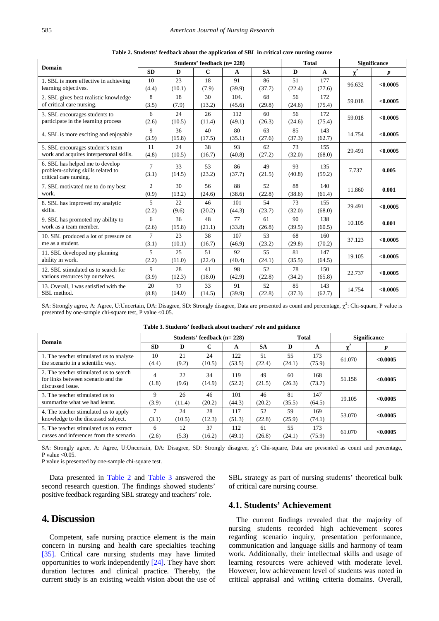<span id="page-4-0"></span>

| <b>Domain</b>                                                                                  |                         |              | Students' feedback (n= 228) |                |              | <b>Total</b> | <b>Significance</b> |          |                  |
|------------------------------------------------------------------------------------------------|-------------------------|--------------|-----------------------------|----------------|--------------|--------------|---------------------|----------|------------------|
|                                                                                                | <b>SD</b>               | D            | $\mathbf C$                 | A              | <b>SA</b>    | D            | $\mathbf{A}$        | $\chi^2$ | $\boldsymbol{p}$ |
| 1. SBL is more effective in achieving<br>learning objectives.                                  | 10<br>(4.4)             | 23<br>(10.1) | 18<br>(7.9)                 | 91<br>(39.9)   | 86<br>(37.7) | 51<br>(22.4) | 177<br>(77.6)       | 96.632   | < 0.0005         |
| 2. SBL gives best realistic knowledge<br>of critical care nursing.                             | 8<br>(3.5)              | 18<br>(7.9)  | 30<br>(13.2)                | 104.<br>(45.6) | 68<br>(29.8) | 56<br>(24.6) | 172<br>(75.4)       | 59.018   | < 0.0005         |
| 3. SBL encourages students to<br>participate in the learning process                           | 6<br>(2.6)              | 24<br>(10.5) | 26<br>(11.4)                | 112<br>(49.1)  | 60<br>(26.3) | 56<br>(24.6) | 172<br>(75.4)       | 59.018   | < 0.0005         |
| 4. SBL is more exciting and enjoyable                                                          | 9<br>(3.9)              | 36<br>(15.8) | 40<br>(17.5)                | 80<br>(35.1)   | 63<br>(27.6) | 85<br>(37.3) | 143<br>(62.7)       | 14.754   | < 0.0005         |
| 5. SBL encourages student's team<br>work and acquires interpersonal skills.                    | 11<br>(4.8)             | 24<br>(10.5) | 38<br>(16.7)                | 93<br>(40.8)   | 62<br>(27.2) | 73<br>(32.0) | 155<br>(68.0)       | 29.491   | < 0.0005         |
| 6. SBL has helped me to develop<br>problem-solving skills related to<br>critical care nursing. | $\overline{7}$<br>(3.1) | 33<br>(14.5) | 53<br>(23.2)                | 86<br>(37.7)   | 49<br>(21.5) | 93<br>(40.8) | 135<br>(59.2)       | 7.737    | 0.005            |
| 7. SBL motivated me to do my best<br>work.                                                     | $\overline{c}$<br>(0.9) | 30<br>(13.2) | 56<br>(24.6)                | 88<br>(38.6)   | 52<br>(22.8) | 88<br>(38.6) | 140<br>(61.4)       | 11.860   | 0.001            |
| 8. SBL has improved my analytic<br>skills.                                                     | 5<br>(2.2)              | 22<br>(9.6)  | 46<br>(20.2)                | 101<br>(44.3)  | 54<br>(23.7) | 73<br>(32.0) | 155<br>(68.0)       | 29.491   | < 0.0005         |
| 9. SBL has promoted my ability to<br>work as a team member.                                    | 6<br>(2.6)              | 36<br>(15.8) | 48<br>(21.1)                | 77<br>(33.8)   | 61<br>(26.8) | 90<br>(39.5) | 138<br>(60.5)       | 10.105   | 0.001            |
| 10. SBL produced a lot of pressure on<br>me as a student.                                      | 7<br>(3.1)              | 23<br>(10.1) | 38<br>(16.7)                | 107<br>(46.9)  | 53<br>(23.2) | 68<br>(29.8) | 160<br>(70.2)       | 37.123   | < 0.0005         |
| 11. SBL developed my planning<br>ability in work.                                              | 5<br>(2.2)              | 25<br>(11.0) | 51<br>(22.4)                | 92<br>(40.4)   | 55<br>(24.1) | 81<br>(35.5) | 147<br>(64.5)       | 19.105   | < 0.0005         |
| 12. SBL stimulated us to search for<br>various resources by ourselves.                         | 9<br>(3.9)              | 28<br>(12.3) | 41<br>(18.0)                | 98<br>(42.9)   | 52<br>(22.8) | 78<br>(34.2) | 150<br>(65.8)       | 22.737   | < 0.0005         |
| 13. Overall, I was satisfied with the<br>SBL method.                                           | 20<br>(8.8)             | 32<br>(14.0) | 33<br>(14.5)                | 91<br>(39.9)   | 52<br>(22.8) | 85<br>(37.3) | 143<br>(62.7)       | 14.754   | < 0.0005         |

**Table 2. Students' feedback about the application of SBL in critical care nursing course** 

SA: Strongly agree, A: Agree, U:Uncertain, DA: Disagree, SD: Strongly disagree, Data are presented as count and percentage,  $\chi^2$ : Chi-square, P value is presented by one-sample chi-square test, P value <0.05.

<span id="page-4-1"></span>

| Domain                                                                                           |             |              | Students' feedback (n= 228) |               | Total        |              | <b>Significance</b> |        |          |
|--------------------------------------------------------------------------------------------------|-------------|--------------|-----------------------------|---------------|--------------|--------------|---------------------|--------|----------|
|                                                                                                  | <b>SD</b>   | D            | C                           | A             | <b>SA</b>    | D            | A                   |        |          |
| 1. The teacher stimulated us to analyze<br>the scenario in a scientific way.                     | 10<br>(4.4) | 21<br>(9.2)  | 24<br>(10.5)                | 122<br>(53.5) | 51<br>(22.4) | 55<br>(24.1) | 173<br>(75.9)       | 61.070 | < 0.0005 |
| 2. The teacher stimulated us to search<br>for links between scenario and the<br>discussed issue. | 4<br>(1.8)  | 22<br>(9.6)  | 34<br>(14.9)                | 119<br>(52.2) | 49<br>(21.5) | 60<br>(26.3) | 168<br>(73.7)       | 51.158 | < 0.0005 |
| 3. The teacher stimulated us to<br>summarize what we had learnt.                                 | 9<br>(3.9)  | 26<br>(11.4) | 46<br>(20.2)                | 101<br>(44.3) | 46<br>(20.2) | 81<br>(35.5) | 147<br>(64.5)       | 19.105 | < 0.0005 |
| 4. The teacher stimulated us to apply<br>knowledge to the discussed subject.                     | 7<br>(3.1)  | 24<br>(10.5) | 28<br>(12.3)                | 117<br>(51.3) | 52<br>(22.8) | 59<br>(25.9) | 169<br>(74.1)       | 53.070 | < 0.0005 |
| 5. The teacher stimulated us to extract<br>cusses and inferences from the scenario.              | 6<br>(2.6)  | 12<br>(5.3)  | 37<br>(16.2)                | 112<br>(49.1) | 61<br>(26.8) | 55<br>(24.1) | 173<br>(75.9)       | 61.070 | < 0.0005 |

**Table 3. Students' feedback about teachers' role and guidance** 

SA: Strongly agree, A: Agree, U:Uncertain, DA: Disagree, SD: Strongly disagree,  $\chi^2$ : Chi-square, Data are presented as count and percentage, P value  $< 0.05$ .

P value is presented by one-sample chi-square test.

Data presented in [Table 2](#page-4-0) and [Table 3](#page-4-1) answered the second research question. The findings showed students' positive feedback regarding SBL strategy and teachers' role.

# **4. Discussion**

Competent, safe nursing practice element is the main concern in nursing and health care specialties teaching [\[35\].](#page-7-0) Critical care nursing students may have limited opportunities to work independently [\[24\].](#page-6-16) They have short duration lectures and clinical practice. Thereby, the current study is an existing wealth vision about the use of SBL strategy as part of nursing students' theoretical bulk of critical care nursing course.

## **4.1. Students' Achievement**

The current findings revealed that the majority of nursing students recorded high achievement scores regarding scenario inquiry, presentation performance, communication and language skills and harmony of team work. Additionally, their intellectual skills and usage of learning resources were achieved with moderate level. However, low achievement level of students was noted in critical appraisal and writing criteria domains. Overall,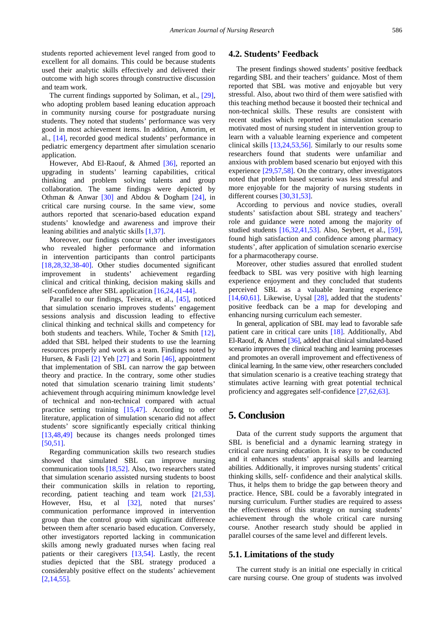students reported achievement level ranged from good to excellent for all domains. This could be because students used their analytic skills effectively and delivered their outcome with high scores through constructive discussion and team work.

The current findings supported by Soliman, et al., [\[29\],](#page-6-12) who adopting problem based leaning education approach in community nursing course for postgraduate nursing students. They noted that students' performance was very good in most achievement items. In addition, Amorim, et al., [\[14\],](#page-6-7) recorded good medical students' performance in pediatric emergency department after simulation scenario application.

However, Abd El-Raouf, & Ahmed [\[36\],](#page-7-1) reported an upgrading in students' learning capabilities, critical thinking and problem solving talents and group collaboration. The same findings were depicted by Othman & Anwar [\[30\]](#page-6-13) and Abdou & Dogham [\[24\],](#page-6-16) in critical care nursing course. In the same view, some authors reported that scenario-based education expand students' knowledge and awareness and improve their leaning abilities and analytic skills [\[1,37\].](#page-6-0)

Moreover, our findings concur with other investigators who revealed higher performance and information in intervention participants than control participants [\[18,28,32,38-40\].](#page-6-8) Other studies documented significant improvement in students' achievement regarding clinical and critical thinking, decision making skills and self-confidence after SBL application [\[16,24,41-44\].](#page-6-17)

Parallel to our findings, Teixeira, et al., [\[45\],](#page-7-2) noticed that simulation scenario improves students' engagement sessions analysis and discussion leading to effective clinical thinking and technical skills and competency for both students and teachers. While, Tocher & Smith [\[12\],](#page-6-18) added that SBL helped their students to use the learning resources properly and work as a team. Findings noted by Hursen, & Fasli [\[2\]](#page-6-1) Yeh [\[27\]](#page-6-19) and Sorin [\[46\],](#page-7-3) appointment that implementation of SBL can narrow the gap between theory and practice. In the contrary, some other studies noted that simulation scenario training limit students' achievement through acquiring minimum knowledge level of technical and non-technical compared with actual practice setting training [\[15,47\].](#page-6-11) According to other literature, application of simulation scenario did not affect students' score significantly especially critical thinking [\[13,48,49\]](#page-6-10) because its changes needs prolonged times [\[50,51\].](#page-7-4)

Regarding communication skills two research studies showed that simulated SBL can improve nursing communication tools [\[18,52\].](#page-6-8) Also, two researchers stated that simulation scenario assisted nursing students to boost their communication skills in relation to reporting, recording, patient teaching and team work [\[21,53\].](#page-6-9) However, Hsu, et al [\[32\],](#page-6-15) noted that nurses' communication performance improved in intervention group than the control group with significant difference between them after scenario based education. Conversely, other investigators reported lacking in communication skills among newly graduated nurses when facing real patients or their caregivers [\[13,54\].](#page-6-10) Lastly, the recent studies depicted that the SBL strategy produced a considerably positive effect on the students' achievement [\[2,14,55\].](#page-6-1) 

## **4.2. Students' Feedback**

The present findings showed students' positive feedback regarding SBL and their teachers' guidance. Most of them reported that SBL was motive and enjoyable but very stressful. Also, about two third of them were satisfied with this teaching method because it boosted their technical and non-technical skills. These results are consistent with recent studies which reported that simulation scenario motivated most of nursing student in intervention group to learn with a valuable learning experience and competent clinical skills [\[13,24,53,56\].](#page-6-10) Similarly to our results some researchers found that students were unfamiliar and anxious with problem based scenario but enjoyed with this experience [\[29,57,58\].](#page-6-12) On the contrary, other investigators noted that problem based scenario was less stressful and more enjoyable for the majority of nursing students in different course[s \[30,31,53\].](#page-6-13) 

According to pervious and novice studies, overall students' satisfaction about SBL strategy and teachers' role and guidance were noted among the majority of studied students [\[16,32,41,53\].](#page-6-17) Also, Seybert, et al., [\[59\],](#page-7-5) found high satisfaction and confidence among pharmacy students', after application of simulation scenario exercise for a pharmacotherapy course.

Moreover, other studies assured that enrolled student feedback to SBL was very positive with high learning experience enjoyment and they concluded that students perceived SBL as a valuable learning experience [\[14,60,61\].](#page-6-7) Likewise, Uysal  $[28]$ , added that the students' positive feedback can be a map for developing and enhancing nursing curriculum each semester.

In general, application of SBL may lead to favorable safe patient care in critical care units [\[18\].](#page-6-8) Additionally, Abd El-Raouf, & Ahmed [\[36\],](#page-7-1) added that clinical simulated-based scenario improves the clinical teaching and learning processes and promotes an overall improvement and effectiveness of clinical learning. In the same view, other researchers concluded that simulation scenario is a creative teaching strategy that stimulates active learning with great potential technical proficiency and aggregates self-confidence [\[27,62,63\].](#page-6-19)

## **5. Conclusion**

Data of the current study supports the argument that SBL is beneficial and a dynamic learning strategy in critical care nursing education. It is easy to be conducted and it enhances students' appraisal skills and learning abilities. Additionally, it improves nursing students' critical thinking skills, self- confidence and their analytical skills. Thus, it helps them to bridge the gap between theory and practice. Hence, SBL could be a favorably integrated in nursing curriculum. Further studies are required to assess the effectiveness of this strategy on nursing students' achievement through the whole critical care nursing course. Another research study should be applied in parallel courses of the same level and different levels.

#### **5.1. Limitations of the study**

The current study is an initial one especially in critical care nursing course. One group of students was involved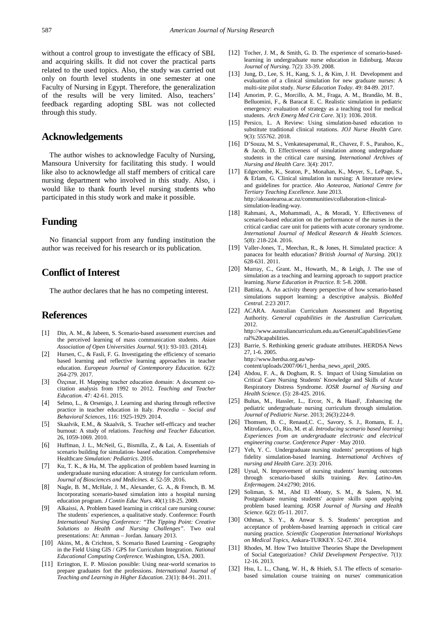without a control group to investigate the efficacy of SBL and acquiring skills. It did not cover the practical parts related to the used topics. Also, the study was carried out only on fourth level students in one semester at one Faculty of Nursing in Egypt. Therefore, the generalization of the results will be very limited. Also, teachers' feedback regarding adopting SBL was not collected through this study.

## **Acknowledgements**

The author wishes to acknowledge Faculty of Nursing, Mansoura University for facilitating this study. I would like also to acknowledge all staff members of critical care nursing department who involved in this study. Also, i would like to thank fourth level nursing students who participated in this study work and make it possible.

# **Funding**

No financial support from any funding institution the author was received for his research or its publication.

# **Conflict of Interest**

The author declares that he has no competing interest.

## **References**

- <span id="page-6-0"></span>[1] Din, A. M., & Jabeen, S. Scenario-based assessment exercises and the perceived learning of mass communication students. *Asian Association of Open Universities Journal*. 9(1): 93-103. (2014).
- <span id="page-6-1"></span>[2] Hursen, C., & Fasli, F. G. Investigating the efficiency of scenario based learning and reflective learning approaches in teacher education. *European Journal of Contemporary Education*. 6(2): 264-279. 2017.
- [3] Özçınar, H. Mapping teacher education domain: A document cocitation analysis from 1992 to 2012. *Teaching and Teacher Education*. 47: 42-61. 2015.
- [4] Selmo, L., & Orsenigo, J. Learning and sharing through reflective practice in teacher education in Italy. *Procedia – Social and Behavioral Sciences*, 116: 1925-1929. 2014.
- [5] Skaalvik, E.M., & Skaalvik, S. Teacher self-efficacy and teacher burnout: A study of relations. *Teaching and Teacher Education*. 26, 1059-1069. 2010.
- <span id="page-6-2"></span>[6] Huffman, J. L., McNeil, G., Bismilla, Z., & Lai, A. Essentials of scenario building for simulation- based education. Comprehensive Healthcare *Simulation: Pediatrics*. 2016.
- <span id="page-6-3"></span>[7] Ku, T. K., & Ha, M. The application of problem based learning in undergraduate nursing education: A strategy for curriculum reform. *Journal of Biosciences and Medicines*. 4: 52-59. 2016.
- <span id="page-6-4"></span>[8] Nagle, B. M., McHale, J. M., Alexander, G. A., & French, B. M. Incorporating scenario-based simulation into a hospital nursing education program. *J Contin Educ Nurs*. 40(1):18-25. 2009.
- [9] Alkaissi, A. Problem based learning in critical care nursing course: The students´ experiences, a qualitative study. Conference: Fourth *International Nursing Conference: "The Tipping Point: Creative Solutions to Health and Nursing Challenges"*. Two oral presentations: At: Amman – Jordan. January 2013.
- <span id="page-6-5"></span>[10] Akins, M., & Crichton, S. Scenario Based Learning - Geography in the Field Using GIS / GPS for Curriculum Integration. *National Educational Computing Conference.* Washington, USA. 2003.
- <span id="page-6-6"></span>[11] Errington, E. P. Mission possible: Using near-world scenarios to prepare graduates fort the professions. *International Journal of Teaching and Learning in Higher Education*. 23(1): 84-91. 2011.
- <span id="page-6-18"></span>[12] Tocher, J. M., & Smith, G. D. The experience of scenario-basedlearning in undergraduate nurse education in Edinburg. *Macau Journal of Nursing*. 7(2): 33-39. 2008.
- <span id="page-6-10"></span>[13] Jung, D., Lee, S. H., Kang, S. J., & Kim, J. H. Development and evaluation of a clinical simulation for new graduate nurses: A multi-site pilot study. *Nurse Education Today*. 49: 84-89. 2017.
- <span id="page-6-7"></span>[14] Amorim, P. G., Morcillo, A. M., Fraga, A. M., Brandão, M. B., Belluomini, F., & Baracat E. C. Realistic simulation in pediatric emergency: evaluation of strategy as a teaching tool for medical students. *Arch Emerg Med Crit Care*. 3(1): 1036. 2018.
- <span id="page-6-11"></span>[15] Persico, L. A Review: Using simulation-based education to substitute traditional clinical rotations. *JOJ Nurse Health Care*. 9(3): 555762. 2018.
- <span id="page-6-17"></span>[16] D'Souza, M. S., Venkatesaperumal, R., Chavez, F. S., Parahoo, K., & Jacob, D. Effectiveness of simulation among undergraduate students in the critical care nursing. *International Archives of Nursing and Health Care*. 3(4): 2017.
- [17] Edgecombe, K., Seaton, P., Monahan, K., Meyer, S., LePage, S., & Erlam, G. Clinical simulation in nursing: A literature review and guidelines for practice. *Ako Aotearoa, National Centre for Tertiary Teaching Excellence*. June 2013. http://akoaotearoa.ac.nz/communities/collaboration-clinicalsimulation-leading-way.
- <span id="page-6-8"></span>[18] Rahmani, A., Mohammadi, A., & Moradi, Y. Effectiveness of scenario-based education on the performance of the nurses in the critical cardiac care unit for patients with acute coronary syndrome. *International Journal of Medical Research & Health Sciences*. 5(8): 218-224. 2016.
- [19] Valler-Jones, T., Meechan, R., & Jones, H. Simulated practice: A panacea for health education? *British Journal of Nursing*. 20(1): 628-631. 2011.
- [20] Murray, C., Grant. M., Howarth, M., & Leigh, J. The use of simulation as a teaching and learning approach to support practice learning. *Nurse Education in Practice*. 8: 5-8. 2008.
- <span id="page-6-9"></span>[21] Battista, A. An activity theory perspective of how scenario-based simulations support learning: a descriptive analysis. *BioMed Central*. 2:23 2017.
- [22] ACARA. Australian Curriculum Assessment and Reporting Authority. *General capabilities in the Australian Curriculum*. 2012. http://www.australiancurriculum.edu.au/GeneralCapabilities/Gene
- [23] Barrie, S. Rethinking generic graduate attributes. HERDSA News 27, 1-6. 2005.

http://www.herdsa.org.au/wpcontent/uploads/2007/06/1\_herdsa\_news\_april\_2005.

ral%20capabilities.

- <span id="page-6-16"></span>[24] Abdou, F. A., & Dogham, R. S. Impact of Using Simulation on Critical Care Nursing Students' Knowledge and Skills of Acute Respiratory Distress Syndrome. *IOSR Journal of Nursing and Health Science*. (5): 28-425. 2016.
- [25] Bultas, M., Hassler, L., Ercor, N., & HaasF, .Enhancing the pediatric undergraduate nursing curriculum through simulation. *Journal of Pediatric Nurse*. 2013; 26(3):224-9.
- [26] Thomsen, B. C., Renaud, C. C., Savory, S. J., Romans, E. J., Mitrofanov, O., Rio, M. et al. *Introducing scenario based learning: Experiences from an undergraduate electronic and electrical engineering course. Conference Paper* · May 2010.
- <span id="page-6-19"></span>[27] Yeh, Y. C. Undergraduate nursing students' perceptions of high fidelity simulation-based learning. *International Archives of nursing and Health Care*. 2(3): 2016.
- <span id="page-6-20"></span>[28] Uysal, N. Improvement of nursing students' learning outcomes through scenario-based skills training. *Rev. Latino-Am. Enfermagem*. 24:e2790; 2016.
- <span id="page-6-12"></span>[29] Soliman, S. M., Abd El -Mouty, S. M., & Salem, N. M. Postgraduate nursing students' acquire skills upon applying problem based learning. *IOSR Journal of Nursing and Health Science*. 6(2): 05-11. 2017.
- <span id="page-6-13"></span>[30] Othman, S. Y., & Anwar S. S. Students' perception and acceptance of problem-based learning approach in critical care nursing practice. *Scientific Cooperation International Workshops on Medical Topics*, Ankara-TURKEY. 52-67. 2014.
- <span id="page-6-14"></span>[31] Rhodes, M. How Two Intuitive Theories Shape the Development of Social Categorization? *Child Development Perspective*. 7(1): 12-16. 2013.
- <span id="page-6-15"></span>[32] Hsu, L. L., Chang, W. H., & Hsieh, S.I. The effects of scenariobased simulation course training on nurses' communication